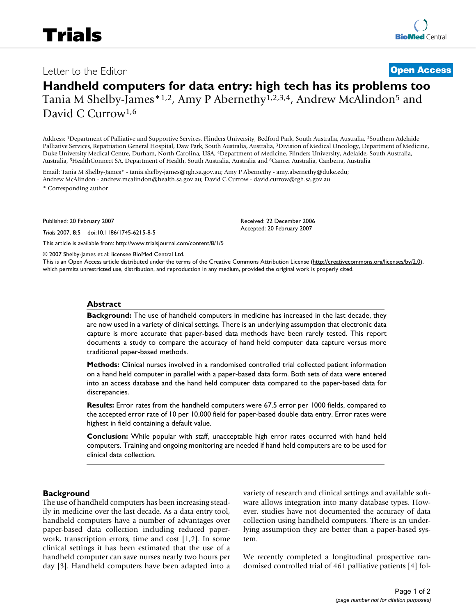# **Handheld computers for data entry: high tech has its problems too** Tania M Shelby-James\*1,2, Amy P Abernethy1,2,3,4, Andrew McAlindon5 and

David C Currow<sup>1,6</sup>

Address: 1Department of Palliative and Supportive Services, Flinders University, Bedford Park, South Australia, Australia, 2Southern Adelaide Palliative Services, Repatriation General Hospital, Daw Park, South Australia, Australia, 3Division of Medical Oncology, Department of Medicine, Duke University Medical Centre, Durham, North Carolina, USA, 4Department of Medicine, Flinders University, Adelaide, South Australia, Australia, 5HealthConnect SA, Department of Health, South Australia, Australia and 6Cancer Australia, Canberra, Australia

Email: Tania M Shelby-James\* - tania.shelby-james@rgh.sa.gov.au; Amy P Abernethy - amy.abernethy@duke.edu; Andrew McAlindon - andrew.mcalindon@health.sa.gov.au; David C Currow - david.currow@rgh.sa.gov.au \* Corresponding author

Published: 20 February 2007

*Trials* 2007, **8**:5 doi:10.1186/1745-6215-8-5

[This article is available from: http://www.trialsjournal.com/content/8/1/5](http://www.trialsjournal.com/content/8/1/5)

© 2007 Shelby-James et al; licensee BioMed Central Ltd.

This is an Open Access article distributed under the terms of the Creative Commons Attribution License [\(http://creativecommons.org/licenses/by/2.0\)](http://creativecommons.org/licenses/by/2.0), which permits unrestricted use, distribution, and reproduction in any medium, provided the original work is properly cited.

Received: 22 December 2006 Accepted: 20 February 2007

#### **Abstract**

**Background:** The use of handheld computers in medicine has increased in the last decade, they are now used in a variety of clinical settings. There is an underlying assumption that electronic data capture is more accurate that paper-based data methods have been rarely tested. This report documents a study to compare the accuracy of hand held computer data capture versus more traditional paper-based methods.

**Methods:** Clinical nurses involved in a randomised controlled trial collected patient information on a hand held computer in parallel with a paper-based data form. Both sets of data were entered into an access database and the hand held computer data compared to the paper-based data for discrepancies.

**Results:** Error rates from the handheld computers were 67.5 error per 1000 fields, compared to the accepted error rate of 10 per 10,000 field for paper-based double data entry. Error rates were highest in field containing a default value.

**Conclusion:** While popular with staff, unacceptable high error rates occurred with hand held computers. Training and ongoing monitoring are needed if hand held computers are to be used for clinical data collection.

#### **Background**

The use of handheld computers has been increasing steadily in medicine over the last decade. As a data entry tool, handheld computers have a number of advantages over paper-based data collection including reduced paperwork, transcription errors, time and cost [1,2]. In some clinical settings it has been estimated that the use of a handheld computer can save nurses nearly two hours per day [3]. Handheld computers have been adapted into a variety of research and clinical settings and available software allows integration into many database types. However, studies have not documented the accuracy of data collection using handheld computers. There is an underlying assumption they are better than a paper-based system.

We recently completed a longitudinal prospective randomised controlled trial of 461 palliative patients [4] fol